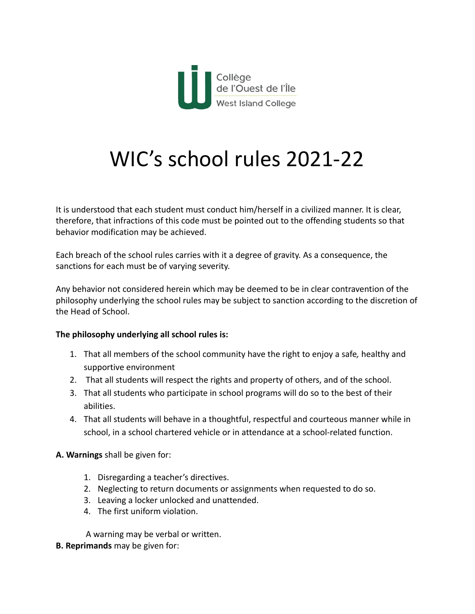

# WIC's school rules 2021-22

It is understood that each student must conduct him/herself in a civilized manner. It is clear, therefore, that infractions of this code must be pointed out to the offending students so that behavior modification may be achieved.

Each breach of the school rules carries with it a degree of gravity. As a consequence, the sanctions for each must be of varying severity.

Any behavior not considered herein which may be deemed to be in clear contravention of the philosophy underlying the school rules may be subject to sanction according to the discretion of the Head of School.

#### **The philosophy underlying all school rules is:**

- 1. That all members of the school community have the right to enjoy a safe*,* healthy and supportive environment
- 2. That all students will respect the rights and property of others, and of the school.
- 3. That all students who participate in school programs will do so to the best of their abilities.
- 4. That all students will behave in a thoughtful, respectful and courteous manner while in school, in a school chartered vehicle or in attendance at a school-related function.

#### **A. Warnings** shall be given for:

- 1. Disregarding a teacher's directives.
- 2. Neglecting to return documents or assignments when requested to do so.
- 3. Leaving a locker unlocked and unattended.
- 4. The first uniform violation.

A warning may be verbal or written.

**B. Reprimands** may be given for: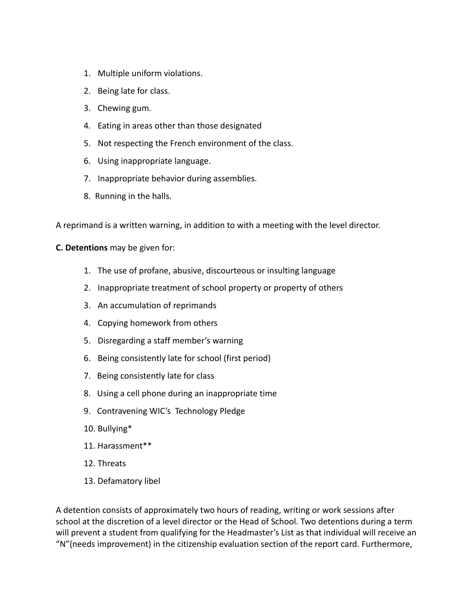- 1. Multiple uniform violations.
- 2. Being late for class.
- 3. Chewing gum.
- 4. Eating in areas other than those designated
- 5. Not respecting the French environment of the class.
- 6. Using inappropriate language.
- 7. Inappropriate behavior during assemblies.
- 8. Running in the halls.

A reprimand is a written warning, in addition to with a meeting with the level director.

#### **C. Detentions** may be given for:

- 1. The use of profane, abusive, discourteous or insulting language
- 2. Inappropriate treatment of school property or property of others
- 3. An accumulation of reprimands
- 4. Copying homework from others
- 5. Disregarding a staff member's warning
- 6. Being consistently late for school (first period)
- 7. Being consistently late for class
- 8. Using a cell phone during an inappropriate time
- 9. Contravening WIC's Technology Pledge
- 10. Bullying\*
- 11. Harassment\*\*
- 12. Threats
- 13. Defamatory libel

A detention consists of approximately two hours of reading, writing or work sessions after school at the discretion of a level director or the Head of School. Two detentions during a term will prevent a student from qualifying for the Headmaster's List as that individual will receive an "N"(needs improvement) in the citizenship evaluation section of the report card. Furthermore,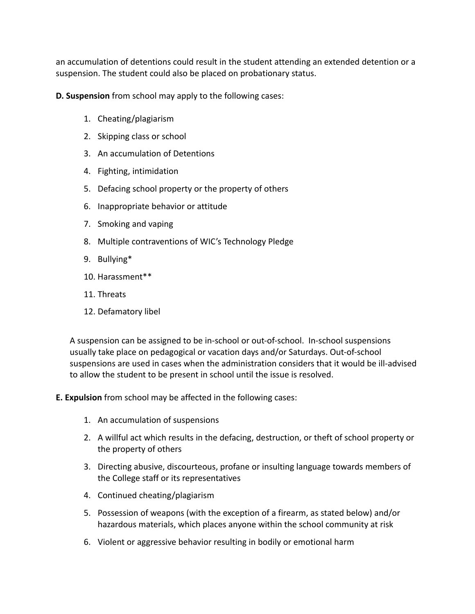an accumulation of detentions could result in the student attending an extended detention or a suspension. The student could also be placed on probationary status.

**D. Suspension** from school may apply to the following cases:

- 1. Cheating/plagiarism
- 2. Skipping class or school
- 3. An accumulation of Detentions
- 4. Fighting, intimidation
- 5. Defacing school property or the property of others
- 6. Inappropriate behavior or attitude
- 7. Smoking and vaping
- 8. Multiple contraventions of WIC's Technology Pledge
- 9. Bullying\*
- 10. Harassment\*\*
- 11. Threats
- 12. Defamatory libel

A suspension can be assigned to be in-school or out-of-school. In-school suspensions usually take place on pedagogical or vacation days and/or Saturdays. Out-of-school suspensions are used in cases when the administration considers that it would be ill-advised to allow the student to be present in school until the issue is resolved.

**E. Expulsion** from school may be affected in the following cases:

- 1. An accumulation of suspensions
- 2. A willful act which results in the defacing, destruction, or theft of school property or the property of others
- 3. Directing abusive, discourteous, profane or insulting language towards members of the College staff or its representatives
- 4. Continued cheating/plagiarism
- 5. Possession of weapons (with the exception of a firearm, as stated below) and/or hazardous materials, which places anyone within the school community at risk
- 6. Violent or aggressive behavior resulting in bodily or emotional harm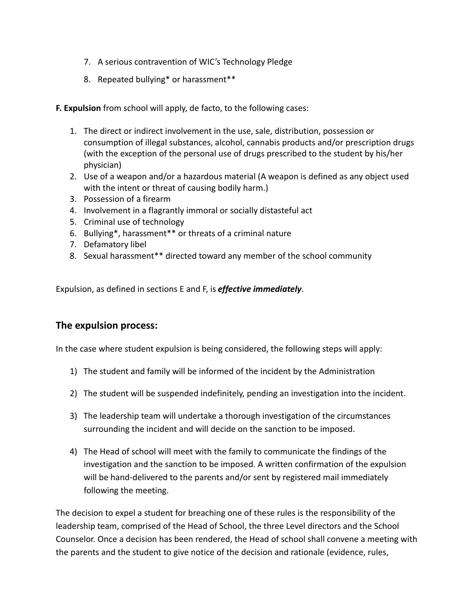- 7. A serious contravention of WIC's Technology Pledge
- 8. Repeated bullying\* or harassment\*\*

**F. Expulsion** from school will apply, de facto, to the following cases:

- 1. The direct or indirect involvement in the use, sale, distribution, possession or consumption of illegal substances, alcohol, cannabis products and/or prescription drugs (with the exception of the personal use of drugs prescribed to the student by his/her physician)
- 2. Use of a weapon and/or a hazardous material (A weapon is defined as any object used with the intent or threat of causing bodily harm.)
- 3. Possession of a firearm
- 4. Involvement in a flagrantly immoral or socially distasteful act
- 5. Criminal use of technology
- 6. Bullying\*, harassment\*\* or threats of a criminal nature
- 7. Defamatory libel
- 8. Sexual harassment\*\* directed toward any member of the school community

Expulsion, as defined in sections E and F, is *effective immediately*.

### **The expulsion process:**

In the case where student expulsion is being considered, the following steps will apply:

- 1) The student and family will be informed of the incident by the Administration
- 2) The student will be suspended indefinitely, pending an investigation into the incident.
- 3) The leadership team will undertake a thorough investigation of the circumstances surrounding the incident and will decide on the sanction to be imposed.
- 4) The Head of school will meet with the family to communicate the findings of the investigation and the sanction to be imposed. A written confirmation of the expulsion will be hand-delivered to the parents and/or sent by registered mail immediately following the meeting.

The decision to expel a student for breaching one of these rules is the responsibility of the leadership team, comprised of the Head of School, the three Level directors and the School Counselor. Once a decision has been rendered, the Head of school shall convene a meeting with the parents and the student to give notice of the decision and rationale (evidence, rules,